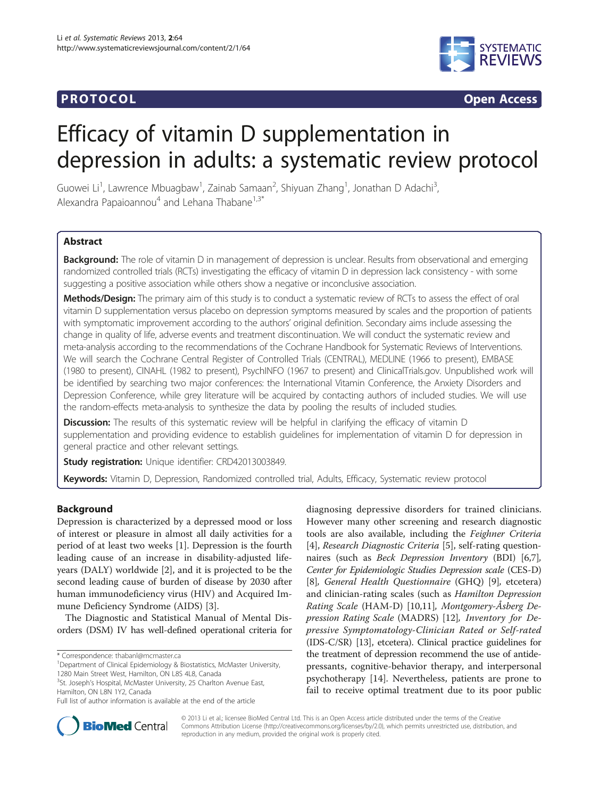# **PROTOCOL CONSUMING ACCESS CONSUMING ACCESS**



# Efficacy of vitamin D supplementation in depression in adults: a systematic review protocol

Guowei Li<sup>1</sup>, Lawrence Mbuagbaw<sup>1</sup>, Zainab Samaan<sup>2</sup>, Shiyuan Zhang<sup>1</sup>, Jonathan D Adachi<sup>3</sup> , Alexandra Papaioannou<sup>4</sup> and Lehana Thabane<sup>1,3\*</sup>

# Abstract

Background: The role of vitamin D in management of depression is unclear. Results from observational and emerging randomized controlled trials (RCTs) investigating the efficacy of vitamin D in depression lack consistency - with some suggesting a positive association while others show a negative or inconclusive association.

Methods/Design: The primary aim of this study is to conduct a systematic review of RCTs to assess the effect of oral vitamin D supplementation versus placebo on depression symptoms measured by scales and the proportion of patients with symptomatic improvement according to the authors' original definition. Secondary aims include assessing the change in quality of life, adverse events and treatment discontinuation. We will conduct the systematic review and meta-analysis according to the recommendations of the Cochrane Handbook for Systematic Reviews of Interventions. We will search the Cochrane Central Register of Controlled Trials (CENTRAL), MEDLINE (1966 to present), EMBASE (1980 to present), CINAHL (1982 to present), PsychINFO (1967 to present) and ClinicalTrials.gov. Unpublished work will be identified by searching two major conferences: the International Vitamin Conference, the Anxiety Disorders and Depression Conference, while grey literature will be acquired by contacting authors of included studies. We will use the random-effects meta-analysis to synthesize the data by pooling the results of included studies.

**Discussion:** The results of this systematic review will be helpful in clarifying the efficacy of vitamin D supplementation and providing evidence to establish guidelines for implementation of vitamin D for depression in general practice and other relevant settings.

Study registration: Unique identifier: [CRD42013003849](http://www.crd.york.ac.uk/Prospero/).

Keywords: Vitamin D, Depression, Randomized controlled trial, Adults, Efficacy, Systematic review protocol

# Background

Depression is characterized by a depressed mood or loss of interest or pleasure in almost all daily activities for a period of at least two weeks [[1\]](#page-5-0). Depression is the fourth leading cause of an increase in disability-adjusted lifeyears (DALY) worldwide [[2](#page-5-0)], and it is projected to be the second leading cause of burden of disease by 2030 after human immunodeficiency virus (HIV) and Acquired Immune Deficiency Syndrome (AIDS) [[3\]](#page-5-0).

The Diagnostic and Statistical Manual of Mental Disorders (DSM) IV has well-defined operational criteria for

<sup>1</sup>Department of Clinical Epidemiology & Biostatistics, McMaster University, 1280 Main Street West, Hamilton, ON L8S 4L8, Canada

<sup>3</sup>St. Joseph's Hospital, McMaster University, 25 Charlton Avenue East, Hamilton, ON L8N 1Y2, Canada

diagnosing depressive disorders for trained clinicians. However many other screening and research diagnostic tools are also available, including the Feighner Criteria [[4\]](#page-5-0), Research Diagnostic Criteria [\[5\]](#page-5-0), self-rating questionnaires (such as Beck Depression Inventory (BDI) [\[6,7](#page-5-0)], Center for Epidemiologic Studies Depression scale (CES-D) [[8\]](#page-5-0), General Health Questionnaire (GHQ) [[9\]](#page-5-0), etcetera) and clinician-rating scales (such as Hamilton Depression Rating Scale (HAM-D) [[10,11\]](#page-5-0), Montgomery-Åsberg Depression Rating Scale (MADRS) [\[12\]](#page-5-0), Inventory for Depressive Symptomatology-Clinician Rated or Self-rated (IDS-C/SR) [\[13\]](#page-5-0), etcetera). Clinical practice guidelines for the treatment of depression recommend the use of antidepressants, cognitive-behavior therapy, and interpersonal psychotherapy [[14\]](#page-5-0). Nevertheless, patients are prone to fail to receive optimal treatment due to its poor public



© 2013 Li et al.; licensee BioMed Central Ltd. This is an Open Access article distributed under the terms of the Creative Commons Attribution License [\(http://creativecommons.org/licenses/by/2.0\)](http://creativecommons.org/licenses/by/2.0), which permits unrestricted use, distribution, and reproduction in any medium, provided the original work is properly cited.

<sup>\*</sup> Correspondence: [thabanl@mcmaster.ca](mailto:thabanl@mcmaster.ca) <sup>1</sup>

Full list of author information is available at the end of the article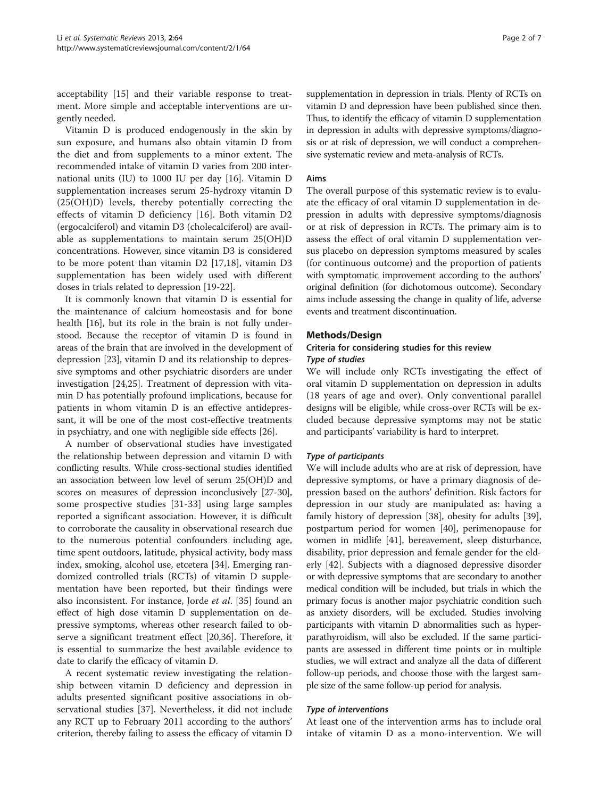acceptability [\[15](#page-5-0)] and their variable response to treatment. More simple and acceptable interventions are urgently needed.

Vitamin D is produced endogenously in the skin by sun exposure, and humans also obtain vitamin D from the diet and from supplements to a minor extent. The recommended intake of vitamin D varies from 200 international units (IU) to 1000 IU per day [\[16](#page-5-0)]. Vitamin D supplementation increases serum 25-hydroxy vitamin D (25(OH)D) levels, thereby potentially correcting the effects of vitamin D deficiency [[16](#page-5-0)]. Both vitamin D2 (ergocalciferol) and vitamin D3 (cholecalciferol) are available as supplementations to maintain serum 25(OH)D concentrations. However, since vitamin D3 is considered to be more potent than vitamin D2 [\[17,18\]](#page-5-0), vitamin D3 supplementation has been widely used with different doses in trials related to depression [[19](#page-5-0)-[22\]](#page-5-0).

It is commonly known that vitamin D is essential for the maintenance of calcium homeostasis and for bone health [[16\]](#page-5-0), but its role in the brain is not fully understood. Because the receptor of vitamin D is found in areas of the brain that are involved in the development of depression [\[23](#page-5-0)], vitamin D and its relationship to depressive symptoms and other psychiatric disorders are under investigation [\[24,25\]](#page-5-0). Treatment of depression with vitamin D has potentially profound implications, because for patients in whom vitamin D is an effective antidepressant, it will be one of the most cost-effective treatments in psychiatry, and one with negligible side effects [[26\]](#page-5-0).

A number of observational studies have investigated the relationship between depression and vitamin D with conflicting results. While cross-sectional studies identified an association between low level of serum 25(OH)D and scores on measures of depression inconclusively [\[27-30](#page-5-0)], some prospective studies [\[31](#page-5-0)-[33](#page-6-0)] using large samples reported a significant association. However, it is difficult to corroborate the causality in observational research due to the numerous potential confounders including age, time spent outdoors, latitude, physical activity, body mass index, smoking, alcohol use, etcetera [\[34](#page-6-0)]. Emerging randomized controlled trials (RCTs) of vitamin D supplementation have been reported, but their findings were also inconsistent. For instance, Jorde et al. [[35](#page-6-0)] found an effect of high dose vitamin D supplementation on depressive symptoms, whereas other research failed to observe a significant treatment effect [[20,](#page-5-0)[36\]](#page-6-0). Therefore, it is essential to summarize the best available evidence to date to clarify the efficacy of vitamin D.

A recent systematic review investigating the relationship between vitamin D deficiency and depression in adults presented significant positive associations in observational studies [[37\]](#page-6-0). Nevertheless, it did not include any RCT up to February 2011 according to the authors' criterion, thereby failing to assess the efficacy of vitamin D

supplementation in depression in trials. Plenty of RCTs on vitamin D and depression have been published since then. Thus, to identify the efficacy of vitamin D supplementation in depression in adults with depressive symptoms/diagnosis or at risk of depression, we will conduct a comprehensive systematic review and meta-analysis of RCTs.

#### Aims

The overall purpose of this systematic review is to evaluate the efficacy of oral vitamin D supplementation in depression in adults with depressive symptoms/diagnosis or at risk of depression in RCTs. The primary aim is to assess the effect of oral vitamin D supplementation versus placebo on depression symptoms measured by scales (for continuous outcome) and the proportion of patients with symptomatic improvement according to the authors' original definition (for dichotomous outcome). Secondary aims include assessing the change in quality of life, adverse events and treatment discontinuation.

# Methods/Design

# Criteria for considering studies for this review Type of studies

We will include only RCTs investigating the effect of oral vitamin D supplementation on depression in adults (18 years of age and over). Only conventional parallel designs will be eligible, while cross-over RCTs will be excluded because depressive symptoms may not be static and participants' variability is hard to interpret.

#### Type of participants

We will include adults who are at risk of depression, have depressive symptoms, or have a primary diagnosis of depression based on the authors' definition. Risk factors for depression in our study are manipulated as: having a family history of depression [\[38](#page-6-0)], obesity for adults [\[39](#page-6-0)], postpartum period for women [[40\]](#page-6-0), perimenopause for women in midlife [[41\]](#page-6-0), bereavement, sleep disturbance, disability, prior depression and female gender for the elderly [[42\]](#page-6-0). Subjects with a diagnosed depressive disorder or with depressive symptoms that are secondary to another medical condition will be included, but trials in which the primary focus is another major psychiatric condition such as anxiety disorders, will be excluded. Studies involving participants with vitamin D abnormalities such as hyperparathyroidism, will also be excluded. If the same participants are assessed in different time points or in multiple studies, we will extract and analyze all the data of different follow-up periods, and choose those with the largest sample size of the same follow-up period for analysis.

#### Type of interventions

At least one of the intervention arms has to include oral intake of vitamin D as a mono-intervention. We will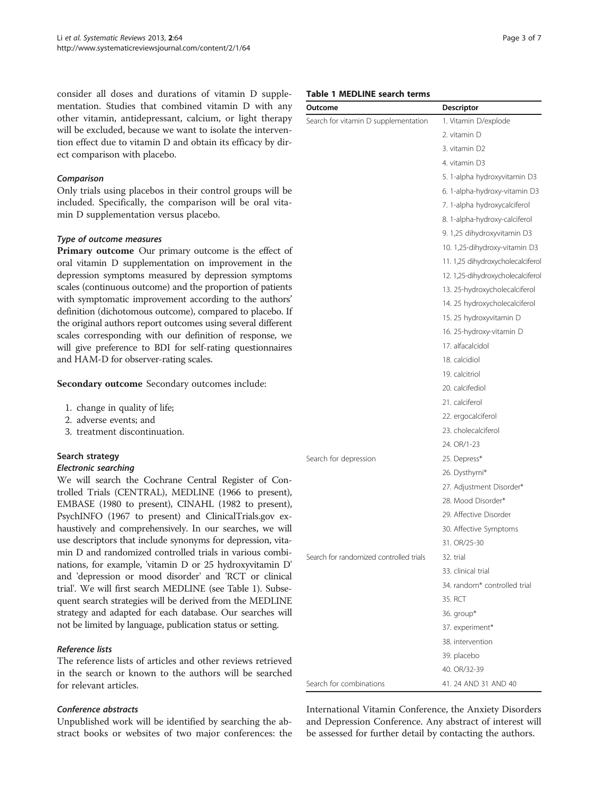consider all doses and durations of vitamin D supplementation. Studies that combined vitamin D with any other vitamin, antidepressant, calcium, or light therapy will be excluded, because we want to isolate the intervention effect due to vitamin D and obtain its efficacy by direct comparison with placebo.

# Comparison

Only trials using placebos in their control groups will be included. Specifically, the comparison will be oral vitamin D supplementation versus placebo.

# Type of outcome measures

Primary outcome Our primary outcome is the effect of oral vitamin D supplementation on improvement in the depression symptoms measured by depression symptoms scales (continuous outcome) and the proportion of patients with symptomatic improvement according to the authors' definition (dichotomous outcome), compared to placebo. If the original authors report outcomes using several different scales corresponding with our definition of response, we will give preference to BDI for self-rating questionnaires and HAM-D for observer-rating scales.

Secondary outcome Secondary outcomes include:

- 1. change in quality of life;
- 2. adverse events; and
- 3. treatment discontinuation.

#### Search strategy

#### Electronic searching

We will search the Cochrane Central Register of Controlled Trials (CENTRAL), MEDLINE (1966 to present), EMBASE (1980 to present), CINAHL (1982 to present), PsychINFO (1967 to present) and ClinicalTrials.gov exhaustively and comprehensively. In our searches, we will use descriptors that include synonyms for depression, vitamin D and randomized controlled trials in various combinations, for example, 'vitamin D or 25 hydroxyvitamin D' and 'depression or mood disorder' and 'RCT or clinical trial'. We will first search MEDLINE (see Table 1). Subsequent search strategies will be derived from the MEDLINE strategy and adapted for each database. Our searches will not be limited by language, publication status or setting.

# Reference lists

The reference lists of articles and other reviews retrieved in the search or known to the authors will be searched for relevant articles.

#### Conference abstracts

Unpublished work will be identified by searching the abstract books or websites of two major conferences: the

|  |  |  |  | Table 1 MEDLINE search terms |  |
|--|--|--|--|------------------------------|--|
|--|--|--|--|------------------------------|--|

| Outcome                                 | Descriptor                        |  |
|-----------------------------------------|-----------------------------------|--|
| Search for vitamin D supplementation    | 1. Vitamin D/explode              |  |
|                                         | 2. vitamin D                      |  |
|                                         | 3. vitamin D2                     |  |
|                                         | 4. vitamin D3                     |  |
|                                         | 5. 1-alpha hydroxyvitamin D3      |  |
|                                         | 6. 1-alpha-hydroxy-vitamin D3     |  |
|                                         | 7. 1-alpha hydroxycalciferol      |  |
|                                         | 8. 1-alpha-hydroxy-calciferol     |  |
|                                         | 9. 1,25 dihydroxyvitamin D3       |  |
|                                         | 10. 1,25-dihydroxy-vitamin D3     |  |
|                                         | 11. 1,25 dihydroxycholecalciferol |  |
|                                         | 12. 1,25-dihydroxycholecalciferol |  |
|                                         | 13. 25-hydroxycholecalciferol     |  |
|                                         | 14. 25 hydroxycholecalciferol     |  |
|                                         | 15. 25 hydroxyvitamin D           |  |
|                                         | 16. 25-hydroxy-vitamin D          |  |
|                                         | 17. alfacalcidol                  |  |
|                                         | 18. calcidiol                     |  |
|                                         | 19. calcitriol                    |  |
|                                         | 20. calcifediol                   |  |
|                                         | 21. calciferol                    |  |
|                                         | 22. ergocalciferol                |  |
|                                         | 23. cholecalciferol               |  |
|                                         | 24. OR/1-23                       |  |
| Search for depression                   | 25. Depress*                      |  |
|                                         | 26. Dysthymi*                     |  |
|                                         | 27. Adjustment Disorder*          |  |
|                                         | 28. Mood Disorder*                |  |
|                                         | 29. Affective Disorder            |  |
|                                         | 30. Affective Symptoms            |  |
|                                         | 31. OR/25-30                      |  |
| Search for randomized controlled trials | 32. trial                         |  |
|                                         | 33. clinical trial                |  |
|                                         | 34. random* controlled trial      |  |
|                                         | 35. RCT                           |  |
|                                         | 36. group*                        |  |
|                                         | 37. experiment*                   |  |
|                                         | 38. intervention                  |  |
|                                         | 39. placebo                       |  |
|                                         | 40. OR/32-39                      |  |
| Search for combinations                 | 41.24 AND 31 AND 40               |  |

International Vitamin Conference, the Anxiety Disorders and Depression Conference. Any abstract of interest will be assessed for further detail by contacting the authors.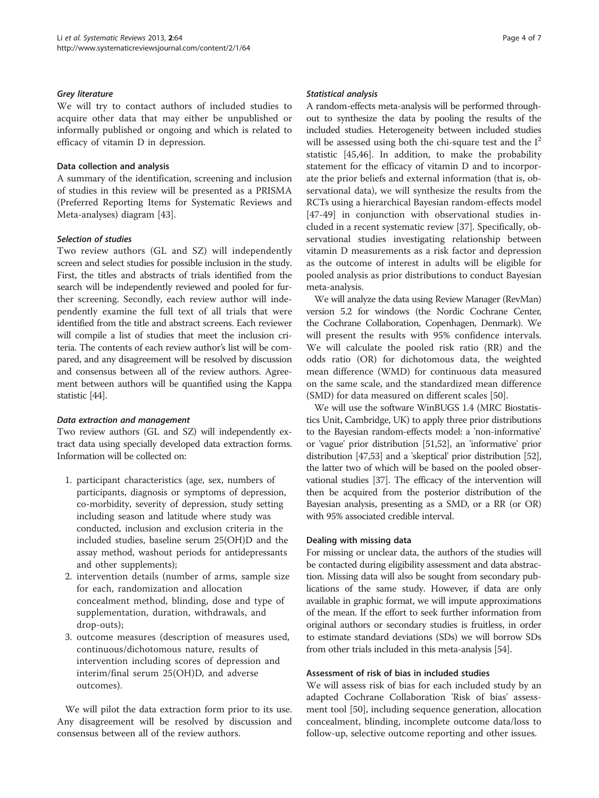#### Grey literature

We will try to contact authors of included studies to acquire other data that may either be unpublished or informally published or ongoing and which is related to efficacy of vitamin D in depression.

# Data collection and analysis

A summary of the identification, screening and inclusion of studies in this review will be presented as a PRISMA (Preferred Reporting Items for Systematic Reviews and Meta-analyses) diagram [[43\]](#page-6-0).

# Selection of studies

Two review authors (GL and SZ) will independently screen and select studies for possible inclusion in the study. First, the titles and abstracts of trials identified from the search will be independently reviewed and pooled for further screening. Secondly, each review author will independently examine the full text of all trials that were identified from the title and abstract screens. Each reviewer will compile a list of studies that meet the inclusion criteria. The contents of each review author's list will be compared, and any disagreement will be resolved by discussion and consensus between all of the review authors. Agreement between authors will be quantified using the Kappa statistic [\[44\]](#page-6-0).

#### Data extraction and management

Two review authors (GL and SZ) will independently extract data using specially developed data extraction forms. Information will be collected on:

- 1. participant characteristics (age, sex, numbers of participants, diagnosis or symptoms of depression, co-morbidity, severity of depression, study setting including season and latitude where study was conducted, inclusion and exclusion criteria in the included studies, baseline serum 25(OH)D and the assay method, washout periods for antidepressants and other supplements);
- 2. intervention details (number of arms, sample size for each, randomization and allocation concealment method, blinding, dose and type of supplementation, duration, withdrawals, and drop-outs);
- 3. outcome measures (description of measures used, continuous/dichotomous nature, results of intervention including scores of depression and interim/final serum 25(OH)D, and adverse outcomes).

We will pilot the data extraction form prior to its use. Any disagreement will be resolved by discussion and consensus between all of the review authors.

#### Statistical analysis

A random-effects meta-analysis will be performed throughout to synthesize the data by pooling the results of the included studies. Heterogeneity between included studies will be assessed using both the chi-square test and the  $I^2$ statistic [[45,46](#page-6-0)]. In addition, to make the probability statement for the efficacy of vitamin D and to incorporate the prior beliefs and external information (that is, observational data), we will synthesize the results from the RCTs using a hierarchical Bayesian random-effects model [[47-49](#page-6-0)] in conjunction with observational studies included in a recent systematic review [\[37\]](#page-6-0). Specifically, observational studies investigating relationship between vitamin D measurements as a risk factor and depression as the outcome of interest in adults will be eligible for pooled analysis as prior distributions to conduct Bayesian meta-analysis.

We will analyze the data using Review Manager (RevMan) version 5.2 for windows (the Nordic Cochrane Center, the Cochrane Collaboration, Copenhagen, Denmark). We will present the results with 95% confidence intervals. We will calculate the pooled risk ratio (RR) and the odds ratio (OR) for dichotomous data, the weighted mean difference (WMD) for continuous data measured on the same scale, and the standardized mean difference (SMD) for data measured on different scales [\[50](#page-6-0)].

We will use the software WinBUGS 1.4 (MRC Biostatistics Unit, Cambridge, UK) to apply three prior distributions to the Bayesian random-effects model: a 'non-informative' or 'vague' prior distribution [\[51,52](#page-6-0)], an 'informative' prior distribution [[47,53\]](#page-6-0) and a 'skeptical' prior distribution [\[52](#page-6-0)], the latter two of which will be based on the pooled observational studies [[37](#page-6-0)]. The efficacy of the intervention will then be acquired from the posterior distribution of the Bayesian analysis, presenting as a SMD, or a RR (or OR) with 95% associated credible interval.

#### Dealing with missing data

For missing or unclear data, the authors of the studies will be contacted during eligibility assessment and data abstraction. Missing data will also be sought from secondary publications of the same study. However, if data are only available in graphic format, we will impute approximations of the mean. If the effort to seek further information from original authors or secondary studies is fruitless, in order to estimate standard deviations (SDs) we will borrow SDs from other trials included in this meta-analysis [[54](#page-6-0)].

### Assessment of risk of bias in included studies

We will assess risk of bias for each included study by an adapted Cochrane Collaboration 'Risk of bias' assessment tool [[50\]](#page-6-0), including sequence generation, allocation concealment, blinding, incomplete outcome data/loss to follow-up, selective outcome reporting and other issues.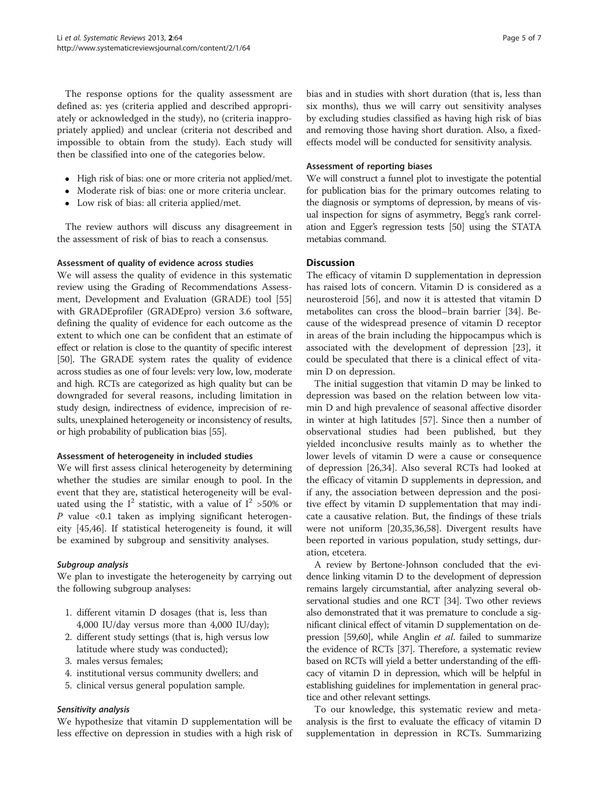The response options for the quality assessment are defined as: yes (criteria applied and described appropriately or acknowledged in the study), no (criteria inappropriately applied) and unclear (criteria not described and impossible to obtain from the study). Each study will then be classified into one of the categories below.

- High risk of bias: one or more criteria not applied/met.
- Moderate risk of bias: one or more criteria unclear.
- Low risk of bias: all criteria applied/met.

The review authors will discuss any disagreement in the assessment of risk of bias to reach a consensus.

#### Assessment of quality of evidence across studies

We will assess the quality of evidence in this systematic review using the Grading of Recommendations Assessment, Development and Evaluation (GRADE) tool [[55](#page-6-0)] with GRADEprofiler (GRADEpro) version 3.6 software, defining the quality of evidence for each outcome as the extent to which one can be confident that an estimate of effect or relation is close to the quantity of specific interest [[50](#page-6-0)]. The GRADE system rates the quality of evidence across studies as one of four levels: very low, low, moderate and high. RCTs are categorized as high quality but can be downgraded for several reasons, including limitation in study design, indirectness of evidence, imprecision of results, unexplained heterogeneity or inconsistency of results, or high probability of publication bias [[55](#page-6-0)].

#### Assessment of heterogeneity in included studies

We will first assess clinical heterogeneity by determining whether the studies are similar enough to pool. In the event that they are, statistical heterogeneity will be evaluated using the  $I^2$  statistic, with a value of  $I^2 > 50\%$  or  $P$  value <0.1 taken as implying significant heterogeneity [\[45,46\]](#page-6-0). If statistical heterogeneity is found, it will be examined by subgroup and sensitivity analyses.

# Subgroup analysis

We plan to investigate the heterogeneity by carrying out the following subgroup analyses:

- 1. different vitamin D dosages (that is, less than 4,000 IU/day versus more than 4,000 IU/day);
- 2. different study settings (that is, high versus low latitude where study was conducted);
- 3. males versus females;
- 4. institutional versus community dwellers; and
- 5. clinical versus general population sample.

#### Sensitivity analysis

We hypothesize that vitamin D supplementation will be less effective on depression in studies with a high risk of bias and in studies with short duration (that is, less than six months), thus we will carry out sensitivity analyses by excluding studies classified as having high risk of bias and removing those having short duration. Also, a fixedeffects model will be conducted for sensitivity analysis.

# Assessment of reporting biases

We will construct a funnel plot to investigate the potential for publication bias for the primary outcomes relating to the diagnosis or symptoms of depression, by means of visual inspection for signs of asymmetry, Begg's rank correlation and Egger's regression tests [[50](#page-6-0)] using the STATA metabias command.

# **Discussion**

The efficacy of vitamin D supplementation in depression has raised lots of concern. Vitamin D is considered as a neurosteroid [\[56](#page-6-0)], and now it is attested that vitamin D metabolites can cross the blood–brain barrier [\[34](#page-6-0)]. Because of the widespread presence of vitamin D receptor in areas of the brain including the hippocampus which is associated with the development of depression [[23\]](#page-5-0), it could be speculated that there is a clinical effect of vitamin D on depression.

The initial suggestion that vitamin D may be linked to depression was based on the relation between low vitamin D and high prevalence of seasonal affective disorder in winter at high latitudes [\[57](#page-6-0)]. Since then a number of observational studies had been published, but they yielded inconclusive results mainly as to whether the lower levels of vitamin D were a cause or consequence of depression [[26,](#page-5-0)[34\]](#page-6-0). Also several RCTs had looked at the efficacy of vitamin D supplements in depression, and if any, the association between depression and the positive effect by vitamin D supplementation that may indicate a causative relation. But, the findings of these trials were not uniform [\[20](#page-5-0)[,35,36,58\]](#page-6-0). Divergent results have been reported in various population, study settings, duration, etcetera.

A review by Bertone-Johnson concluded that the evidence linking vitamin D to the development of depression remains largely circumstantial, after analyzing several observational studies and one RCT [\[34\]](#page-6-0). Two other reviews also demonstrated that it was premature to conclude a significant clinical effect of vitamin D supplementation on de-pression [\[59,60\]](#page-6-0), while Anglin *et al*. failed to summarize the evidence of RCTs [\[37\]](#page-6-0). Therefore, a systematic review based on RCTs will yield a better understanding of the efficacy of vitamin D in depression, which will be helpful in establishing guidelines for implementation in general practice and other relevant settings.

To our knowledge, this systematic review and metaanalysis is the first to evaluate the efficacy of vitamin D supplementation in depression in RCTs. Summarizing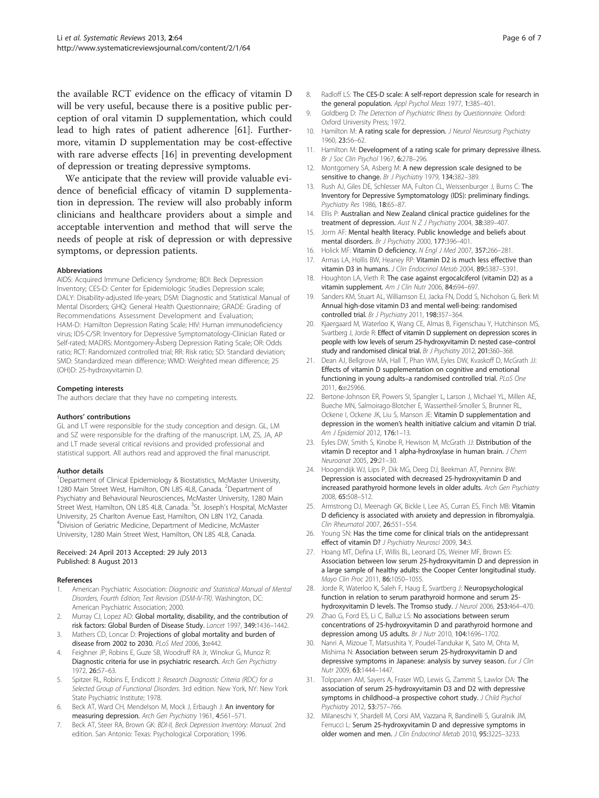<span id="page-5-0"></span>the available RCT evidence on the efficacy of vitamin D will be very useful, because there is a positive public perception of oral vitamin D supplementation, which could lead to high rates of patient adherence [\[61\]](#page-6-0). Furthermore, vitamin D supplementation may be cost-effective with rare adverse effects [16] in preventing development of depression or treating depressive symptoms.

We anticipate that the review will provide valuable evidence of beneficial efficacy of vitamin D supplementation in depression. The review will also probably inform clinicians and healthcare providers about a simple and acceptable intervention and method that will serve the needs of people at risk of depression or with depressive symptoms, or depression patients.

#### Abbreviations

AIDS: Acquired Immune Deficiency Syndrome; BDI: Beck Depression Inventory; CES-D: Center for Epidemiologic Studies Depression scale; DALY: Disability-adjusted life-years; DSM: Diagnostic and Statistical Manual of Mental Disorders; GHQ: General Health Questionnaire; GRADE: Grading of Recommendations Assessment Development and Evaluation; HAM-D: Hamilton Depression Rating Scale; HIV: Human immunodeficiency virus; IDS-C/SR: Inventory for Depressive Symptomatology-Clinician Rated or Self-rated; MADRS: Montgomery-Åsberg Depression Rating Scale; OR: Odds ratio; RCT: Randomized controlled trial; RR: Risk ratio; SD: Standard deviation; SMD: Standardized mean difference; WMD: Weighted mean difference; 25 (OH)D: 25-hydroxyvitamin D.

#### Competing interests

The authors declare that they have no competing interests.

#### Authors' contributions

GL and LT were responsible for the study conception and design. GL, LM and SZ were responsible for the drafting of the manuscript. LM, ZS, JA, AP and LT made several critical revisions and provided professional and statistical support. All authors read and approved the final manuscript.

#### Author details

<sup>1</sup>Department of Clinical Epidemiology & Biostatistics, McMaster University, 1280 Main Street West, Hamilton, ON L8S 4L8, Canada. <sup>2</sup>Department of Psychiatry and Behavioural Neurosciences, McMaster University, 1280 Main Street West, Hamilton, ON L8S 4L8, Canada. <sup>3</sup>St. Joseph's Hospital, McMaster University, 25 Charlton Avenue East, Hamilton, ON L8N 1Y2, Canada. 4 Division of Geriatric Medicine, Department of Medicine, McMaster University, 1280 Main Street West, Hamilton, ON L8S 4L8, Canada.

#### Received: 24 April 2013 Accepted: 29 July 2013 Published: 8 August 2013

#### References

- American Psychiatric Association: Diagnostic and Statistical Manual of Mental Disorders, Fourth Edition, Text Revision (DSM-IV-TR). Washington, DC: American Psychiatric Association; 2000.
- 2. Murray CJ, Lopez AD: Global mortality, disability, and the contribution of risk factors: Global Burden of Disease Study. Lancet 1997, 349:1436–1442.
- 3. Mathers CD, Loncar D: Projections of global mortality and burden of disease from 2002 to 2030. PLoS Med 2006, 3:e442.
- 4. Feighner JP, Robins E, Guze SB, Woodruff RA Jr, Winokur G, Munoz R: Diagnostic criteria for use in psychiatric research. Arch Gen Psychiatry 1972, 26:57–63.
- Spitzer RL, Robins E, Endicott J: Research Diagnostic Criteria (RDC) for a Selected Group of Functional Disorders. 3rd edition. New York, NY: New York State Psychiatric Institute; 1978.
- Beck AT, Ward CH, Mendelson M, Mock J, Erbaugh J: An inventory for measuring depression. Arch Gen Psychiatry 1961, 4:561–571.
- 7. Beck AT, Steer RA, Brown GK: BDI-II, Beck Depression Inventory: Manual. 2nd edition. San Antonio: Texas: Psychological Corporation; 1996.
- 8. Radloff LS: The CES-D scale: A self-report depression scale for research in the general population. Appl Psychol Meas 1977, 1:385–401.
- 9. Goldberg D: The Detection of Psychiatric Illness by Questionnaire. Oxford: Oxford University Press; 1972.
- 10. Hamilton M: A rating scale for depression. J Neurol Neurosurg Psychiatry 1960, 23:56–62.
- 11. Hamilton M: Development of a rating scale for primary depressive illness. Br J Soc Clin Psychol 1967, 6:278–296.
- 12. Montgomery SA, Asberg M: A new depression scale designed to be sensitive to change. Br J Psychiatry 1979, 134:382-389.
- 13. Rush AJ, Giles DE, Schlesser MA, Fulton CL, Weissenburger J, Burns C: The Inventory for Depressive Symptomatology (IDS): preliminary findings. Psychiatry Res 1986, 18:65–87.
- 14. Ellis P: Australian and New Zealand clinical practice guidelines for the treatment of depression. Aust N Z J Psychiatry 2004, 38:389-407
- 15. Jorm AF: Mental health literacy. Public knowledge and beliefs about mental disorders. Br J Psychiatry 2000, 177:396-401.
- 16. Holick MF: Vitamin D deficiency. N Engl J Med 2007, 357:266–281.
- 17. Armas LA, Hollis BW, Heaney RP: Vitamin D2 is much less effective than vitamin D3 in humans. J Clin Endocrinol Metab 2004, 89:5387–5391.
- 18. Houghton LA, Vieth R: The case against ergocalciferol (vitamin D2) as a vitamin supplement. Am J Clin Nutr 2006, 84:694-697.
- 19. Sanders KM, Stuart AL, Williamson EJ, Jacka FN, Dodd S, Nicholson G, Berk M: Annual high-dose vitamin D3 and mental well-being: randomised controlled trial. Br J Psychiatry 2011, 198:357-364.
- 20. Kjaergaard M, Waterloo K, Wang CE, Almas B, Figenschau Y, Hutchinson MS, Svartberg J, Jorde R: Effect of vitamin D supplement on depression scores in people with low levels of serum 25-hydroxyvitamin D: nested case–control study and randomised clinical trial. Br J Psychiatry 2012, 201:360-368.
- 21. Dean AJ, Bellgrove MA, Hall T, Phan WM, Eyles DW, Kvaskoff D, McGrath JJ: Effects of vitamin D supplementation on cognitive and emotional functioning in young adults–a randomised controlled trial. PLoS One 2011, 6:e25966.
- 22. Bertone-Johnson ER, Powers SI, Spangler L, Larson J, Michael YL, Millen AE, Bueche MN, Salmoirago-Blotcher E, Wassertheil-Smoller S, Brunner RL, Ockene I, Ockene JK, Liu S, Manson JE: Vitamin D supplementation and depression in the women's health initiative calcium and vitamin D trial. Am J Epidemiol 2012, 176:1–13.
- 23. Eyles DW, Smith S, Kinobe R, Hewison M, McGrath JJ: Distribution of the vitamin D receptor and 1 alpha-hydroxylase in human brain. *J Chem* Neuroanat 2005, 29:21–30.
- 24. Hoogendijk WJ, Lips P, Dik MG, Deeg DJ, Beekman AT, Penninx BW: Depression is associated with decreased 25-hydroxyvitamin D and increased parathyroid hormone levels in older adults. Arch Gen Psychiatry 2008, 65:508–512.
- 25. Armstrong DJ, Meenagh GK, Bickle J, Lee AS, Curran ES, Finch MB: Vitamin D deficiency is associated with anxiety and depression in fibromyalgia. Clin Rheumatol 2007, 26:551–554.
- 26. Young SN: Has the time come for clinical trials on the antidepressant effect of vitamin D? J Psychiatry Neurosci 2009, 34:3.
- 27. Hoang MT, Defina LF, Willis BL, Leonard DS, Weiner MF, Brown ES: Association between low serum 25-hydroxyvitamin D and depression in a large sample of healthy adults: the Cooper Center longitudinal study. Mayo Clin Proc 2011, 86:1050–1055.
- 28. Jorde R, Waterloo K, Saleh F, Haug E, Svartberg J: Neuropsychological function in relation to serum parathyroid hormone and serum 25 hydroxyvitamin D levels. The Tromso study. J Neurol 2006, 253:464–470.
- 29. Zhao G, Ford ES, Li C, Balluz LS: No associations between serum concentrations of 25-hydroxyvitamin D and parathyroid hormone and depression among US adults. Br J Nutr 2010, 104:1696–1702.
- 30. Nanri A, Mizoue T, Matsushita Y, Poudel-Tandukar K, Sato M, Ohta M, Mishima N: Association between serum 25-hydroxyvitamin D and depressive symptoms in Japanese: analysis by survey season. Eur J Clin Nutr 2009, 63:1444–1447.
- 31. Tolppanen AM, Sayers A, Fraser WD, Lewis G, Zammit S, Lawlor DA: The association of serum 25-hydroxyvitamin D3 and D2 with depressive symptoms in childhood-a prospective cohort study. J Child Psychol Psychiatry 2012, 53:757–766.
- 32. Milaneschi Y, Shardell M, Corsi AM, Vazzana R, Bandinelli S, Guralnik JM, Ferrucci L: Serum 25-hydroxyvitamin D and depressive symptoms in older women and men. J Clin Endocrinol Metab 2010, 95:3225–3233.